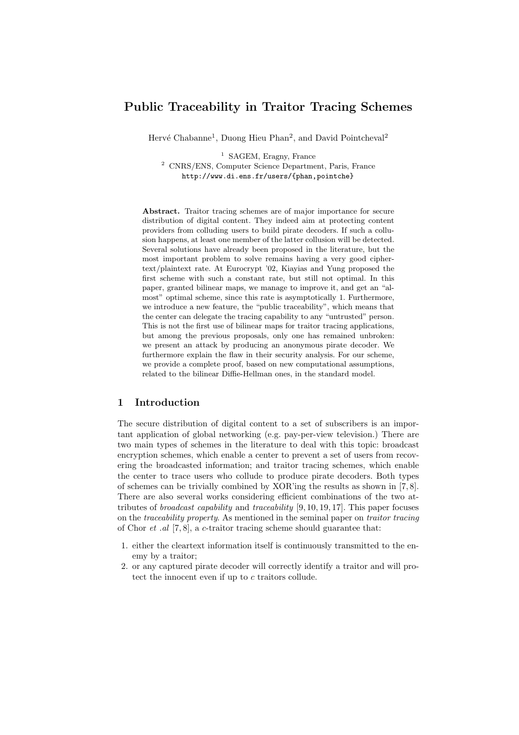# Public Traceability in Traitor Tracing Schemes

Hervé Chabanne<sup>1</sup>, Duong Hieu Phan<sup>2</sup>, and David Pointcheval<sup>2</sup>

<sup>1</sup> SAGEM, Eragny, France <sup>2</sup> CNRS/ENS, Computer Science Department, Paris, France http://www.di.ens.fr/users/{phan,pointche}

Abstract. Traitor tracing schemes are of major importance for secure distribution of digital content. They indeed aim at protecting content providers from colluding users to build pirate decoders. If such a collusion happens, at least one member of the latter collusion will be detected. Several solutions have already been proposed in the literature, but the most important problem to solve remains having a very good ciphertext/plaintext rate. At Eurocrypt '02, Kiayias and Yung proposed the first scheme with such a constant rate, but still not optimal. In this paper, granted bilinear maps, we manage to improve it, and get an "almost" optimal scheme, since this rate is asymptotically 1. Furthermore, we introduce a new feature, the "public traceability", which means that the center can delegate the tracing capability to any "untrusted" person. This is not the first use of bilinear maps for traitor tracing applications, but among the previous proposals, only one has remained unbroken: we present an attack by producing an anonymous pirate decoder. We furthermore explain the flaw in their security analysis. For our scheme, we provide a complete proof, based on new computational assumptions, related to the bilinear Diffie-Hellman ones, in the standard model.

# 1 Introduction

The secure distribution of digital content to a set of subscribers is an important application of global networking (e.g. pay-per-view television.) There are two main types of schemes in the literature to deal with this topic: broadcast encryption schemes, which enable a center to prevent a set of users from recovering the broadcasted information; and traitor tracing schemes, which enable the center to trace users who collude to produce pirate decoders. Both types of schemes can be trivially combined by XOR'ing the results as shown in [7, 8]. There are also several works considering efficient combinations of the two attributes of *broadcast capability* and *traceability*  $[9, 10, 19, 17]$ . This paper focuses on the traceability property. As mentioned in the seminal paper on traitor tracing of Chor et .al [7, 8], a c-traitor tracing scheme should guarantee that:

- 1. either the cleartext information itself is continuously transmitted to the enemy by a traitor;
- 2. or any captured pirate decoder will correctly identify a traitor and will protect the innocent even if up to c traitors collude.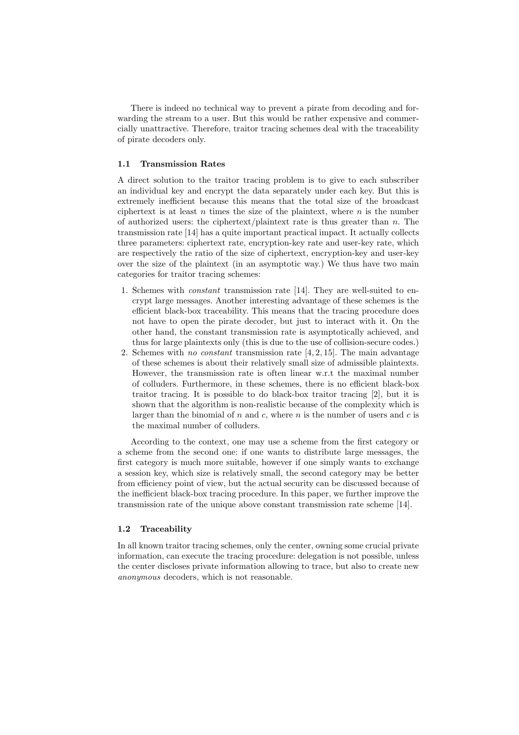There is indeed no technical way to prevent a pirate from decoding and forwarding the stream to a user. But this would be rather expensive and commercially unattractive. Therefore, traitor tracing schemes deal with the traceability of pirate decoders only.

## 1.1 Transmission Rates

A direct solution to the traitor tracing problem is to give to each subscriber an individual key and encrypt the data separately under each key. But this is extremely inefficient because this means that the total size of the broadcast ciphertext is at least  $n$  times the size of the plaintext, where  $n$  is the number of authorized users: the ciphertext/plaintext rate is thus greater than  $n$ . The transmission rate [14] has a quite important practical impact. It actually collects three parameters: ciphertext rate, encryption-key rate and user-key rate, which are respectively the ratio of the size of ciphertext, encryption-key and user-key over the size of the plaintext (in an asymptotic way.) We thus have two main categories for traitor tracing schemes:

- 1. Schemes with constant transmission rate [14]. They are well-suited to encrypt large messages. Another interesting advantage of these schemes is the efficient black-box traceability. This means that the tracing procedure does not have to open the pirate decoder, but just to interact with it. On the other hand, the constant transmission rate is asymptotically achieved, and thus for large plaintexts only (this is due to the use of collision-secure codes.)
- 2. Schemes with no constant transmission rate  $[4, 2, 15]$ . The main advantage of these schemes is about their relatively small size of admissible plaintexts. However, the transmission rate is often linear w.r.t the maximal number of colluders. Furthermore, in these schemes, there is no efficient black-box traitor tracing. It is possible to do black-box traitor tracing [2], but it is shown that the algorithm is non-realistic because of the complexity which is larger than the binomial of  $n$  and  $c$ , where  $n$  is the number of users and  $c$  is the maximal number of colluders.

According to the context, one may use a scheme from the first category or a scheme from the second one: if one wants to distribute large messages, the first category is much more suitable, however if one simply wants to exchange a session key, which size is relatively small, the second category may be better from efficiency point of view, but the actual security can be discussed because of the inefficient black-box tracing procedure. In this paper, we further improve the transmission rate of the unique above constant transmission rate scheme [14].

## 1.2 Traceability

In all known traitor tracing schemes, only the center, owning some crucial private information, can execute the tracing procedure: delegation is not possible, unless the center discloses private information allowing to trace, but also to create new anonymous decoders, which is not reasonable.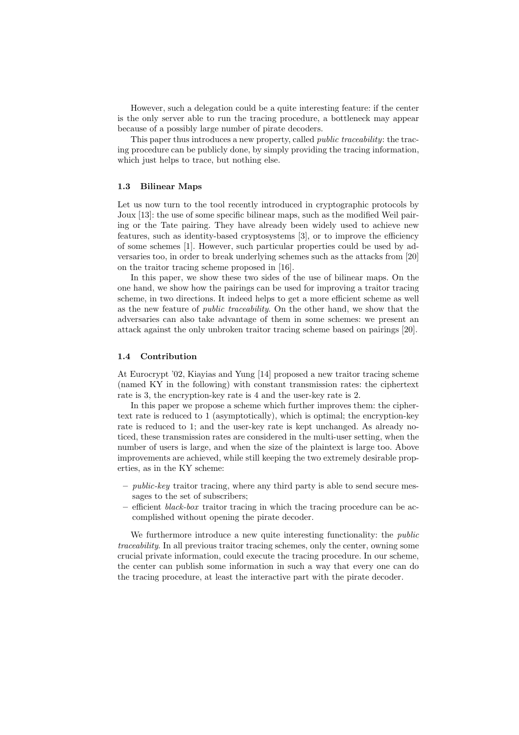However, such a delegation could be a quite interesting feature: if the center is the only server able to run the tracing procedure, a bottleneck may appear because of a possibly large number of pirate decoders.

This paper thus introduces a new property, called public traceability: the tracing procedure can be publicly done, by simply providing the tracing information, which just helps to trace, but nothing else.

## 1.3 Bilinear Maps

Let us now turn to the tool recently introduced in cryptographic protocols by Joux [13]: the use of some specific bilinear maps, such as the modified Weil pairing or the Tate pairing. They have already been widely used to achieve new features, such as identity-based cryptosystems [3], or to improve the efficiency of some schemes [1]. However, such particular properties could be used by adversaries too, in order to break underlying schemes such as the attacks from [20] on the traitor tracing scheme proposed in [16].

In this paper, we show these two sides of the use of bilinear maps. On the one hand, we show how the pairings can be used for improving a traitor tracing scheme, in two directions. It indeed helps to get a more efficient scheme as well as the new feature of public traceability. On the other hand, we show that the adversaries can also take advantage of them in some schemes: we present an attack against the only unbroken traitor tracing scheme based on pairings [20].

#### 1.4 Contribution

At Eurocrypt '02, Kiayias and Yung [14] proposed a new traitor tracing scheme (named KY in the following) with constant transmission rates: the ciphertext rate is 3, the encryption-key rate is 4 and the user-key rate is 2.

In this paper we propose a scheme which further improves them: the ciphertext rate is reduced to 1 (asymptotically), which is optimal; the encryption-key rate is reduced to 1; and the user-key rate is kept unchanged. As already noticed, these transmission rates are considered in the multi-user setting, when the number of users is large, and when the size of the plaintext is large too. Above improvements are achieved, while still keeping the two extremely desirable properties, as in the KY scheme:

- $-$  *public-key* traitor tracing, where any third party is able to send secure messages to the set of subscribers;
- efficient black-box traitor tracing in which the tracing procedure can be accomplished without opening the pirate decoder.

We furthermore introduce a new quite interesting functionality: the *public* traceability. In all previous traitor tracing schemes, only the center, owning some crucial private information, could execute the tracing procedure. In our scheme, the center can publish some information in such a way that every one can do the tracing procedure, at least the interactive part with the pirate decoder.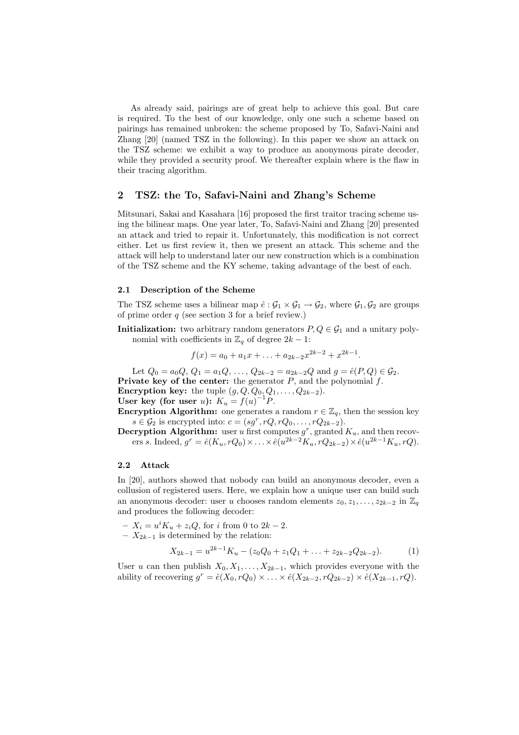As already said, pairings are of great help to achieve this goal. But care is required. To the best of our knowledge, only one such a scheme based on pairings has remained unbroken: the scheme proposed by To, Safavi-Naini and Zhang [20] (named TSZ in the following). In this paper we show an attack on the TSZ scheme: we exhibit a way to produce an anonymous pirate decoder, while they provided a security proof. We thereafter explain where is the flaw in their tracing algorithm.

## 2 TSZ: the To, Safavi-Naini and Zhang's Scheme

Mitsunari, Sakai and Kasahara [16] proposed the first traitor tracing scheme using the bilinear maps. One year later, To, Safavi-Naini and Zhang [20] presented an attack and tried to repair it. Unfortunately, this modification is not correct either. Let us first review it, then we present an attack. This scheme and the attack will help to understand later our new construction which is a combination of the TSZ scheme and the KY scheme, taking advantage of the best of each.

## 2.1 Description of the Scheme

The TSZ scheme uses a bilinear map  $\hat{e}: \mathcal{G}_1 \times \mathcal{G}_1 \to \mathcal{G}_2$ , where  $\mathcal{G}_1, \mathcal{G}_2$  are groups of prime order  $q$  (see section 3 for a brief review.)

**Initialization:** two arbitrary random generators  $P, Q \in \mathcal{G}_1$  and a unitary polynomial with coefficients in  $\mathbb{Z}_q$  of degree  $2k - 1$ :

$$
f(x) = a_0 + a_1x + \ldots + a_{2k-2}x^{2k-2} + x^{2k-1}.
$$

Let  $Q_0 = a_0 Q, Q_1 = a_1 Q, \ldots, Q_{2k-2} = a_{2k-2} Q$  and  $g = \hat{e}(P, Q) \in \mathcal{G}_2$ . **Private key of the center:** the generator  $P$ , and the polynomial  $f$ . Encryption key: the tuple  $(g, Q, Q_0, Q_1, \ldots, Q_{2k-2})$ . User key (for user u):  $K_u = f(u)^{-1}P$ .

**Encryption Algorithm:** one generates a random  $r \in \mathbb{Z}_q$ , then the session key  $s \in \mathcal{G}_2$  is encrypted into:  $c = (sg^r, rQ, rQ_0, \ldots, rQ_{2k-2}).$ 

**Decryption Algorithm:** user u first computes  $g^r$ , granted  $K_u$ , and then recovers s. Indeed,  $g^r = \hat{e}(K_u, rQ_0) \times ... \times \hat{e}(u^{2k-2}K_u, rQ_{2k-2}) \times \hat{e}(u^{2k-1}K_u, rQ)$ .

## 2.2 Attack

In [20], authors showed that nobody can build an anonymous decoder, even a collusion of registered users. Here, we explain how a unique user can build such an anonymous decoder: user u chooses random elements  $z_0, z_1, \ldots, z_{2k-2}$  in  $\mathbb{Z}_q$ and produces the following decoder:

- $-X_i = u^i K_u + z_i Q$ , for i from 0 to  $2k 2$ .
- X<sup>2</sup>k−<sup>1</sup> is determined by the relation:

$$
X_{2k-1} = u^{2k-1} K_u - (z_0 Q_0 + z_1 Q_1 + \ldots + z_{2k-2} Q_{2k-2}).
$$
 (1)

User u can then publish  $X_0, X_1, \ldots, X_{2k-1}$ , which provides everyone with the ability of recovering  $g^r = \hat{e}(X_0, rQ_0) \times \ldots \times \hat{e}(X_{2k-2}, rQ_{2k-2}) \times \hat{e}(X_{2k-1}, rQ)$ .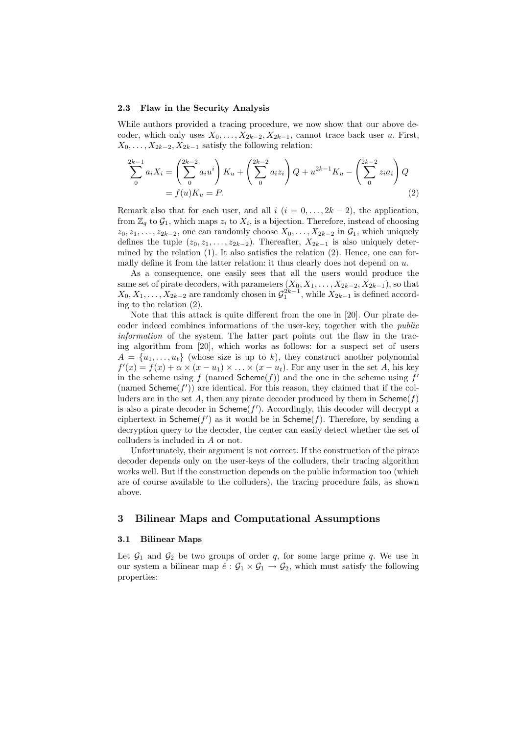#### 2.3 Flaw in the Security Analysis

While authors provided a tracing procedure, we now show that our above decoder, which only uses  $X_0, \ldots, X_{2k-2}, X_{2k-1}$ , cannot trace back user u. First,  $X_0, \ldots, X_{2k-2}, X_{2k-1}$  satisfy the following relation:

$$
\sum_{0}^{2k-1} a_i X_i = \left(\sum_{0}^{2k-2} a_i u^i\right) K_u + \left(\sum_{0}^{2k-2} a_i z_i\right) Q + u^{2k-1} K_u - \left(\sum_{0}^{2k-2} z_i a_i\right) Q
$$
  
=  $f(u) K_u = P.$  (2)

Remark also that for each user, and all  $i$  ( $i = 0, \ldots, 2k - 2$ ), the application, from  $\mathbb{Z}_q$  to  $\mathcal{G}_1$ , which maps  $z_i$  to  $X_i$ , is a bijection. Therefore, instead of choosing  $z_0, z_1, \ldots, z_{2k-2}$ , one can randomly choose  $X_0, \ldots, X_{2k-2}$  in  $\mathcal{G}_1$ , which uniquely defines the tuple  $(z_0, z_1, \ldots, z_{2k-2})$ . Thereafter,  $X_{2k-1}$  is also uniquely determined by the relation (1). It also satisfies the relation (2). Hence, one can formally define it from the latter relation: it thus clearly does not depend on  $u$ .

As a consequence, one easily sees that all the users would produce the same set of pirate decoders, with parameters  $(X_0, X_1, \ldots, X_{2k-2}, X_{2k-1})$ , so that  $X_0, X_1, \ldots, X_{2k-2}$  are randomly chosen in  $\mathcal{G}_1^{2k-1}$ , while  $X_{2k-1}$  is defined according to the relation (2).

Note that this attack is quite different from the one in [20]. Our pirate decoder indeed combines informations of the user-key, together with the public information of the system. The latter part points out the flaw in the tracing algorithm from [20], which works as follows: for a suspect set of users  $A = \{u_1, \ldots, u_t\}$  (whose size is up to k), they construct another polynomial  $f'(x) = f(x) + \alpha \times (x - u_1) \times \ldots \times (x - u_t)$ . For any user in the set A, his key in the scheme using f (named  $\mathsf{Scheme}(f)$ ) and the one in the scheme using  $f'$ (named  $\mathsf{Scheme}(f')$ ) are identical. For this reason, they claimed that if the colluders are in the set A, then any pirate decoder produced by them in  $\mathsf{Scheme}(f)$ is also a pirate decoder in  $\mathsf{Scheme}(f')$ . Accordingly, this decoder will decrypt a ciphertext in  $\mathsf{Scheme}(f')$  as it would be in  $\mathsf{Scheme}(f)$ . Therefore, by sending a decryption query to the decoder, the center can easily detect whether the set of colluders is included in A or not.

Unfortunately, their argument is not correct. If the construction of the pirate decoder depends only on the user-keys of the colluders, their tracing algorithm works well. But if the construction depends on the public information too (which are of course available to the colluders), the tracing procedure fails, as shown above.

# 3 Bilinear Maps and Computational Assumptions

# 3.1 Bilinear Maps

Let  $\mathcal{G}_1$  and  $\mathcal{G}_2$  be two groups of order q, for some large prime q. We use in our system a bilinear map  $\hat{e}: \mathcal{G}_1 \times \mathcal{G}_1 \to \mathcal{G}_2$ , which must satisfy the following properties: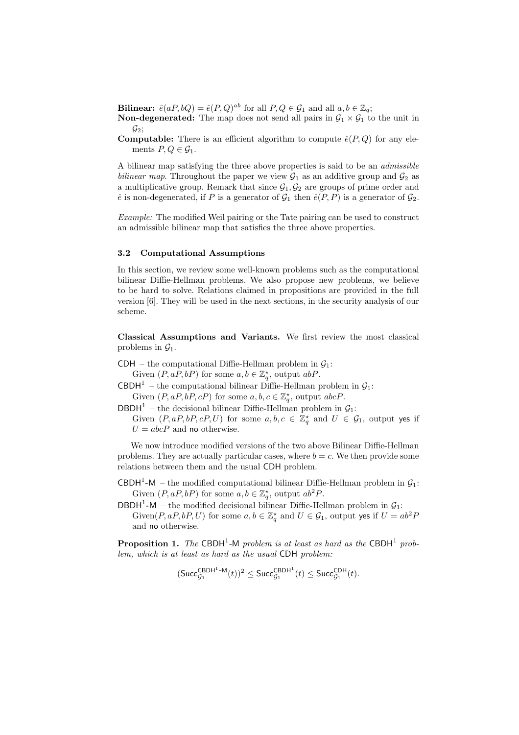**Bilinear:**  $\hat{e}(aP, bQ) = \hat{e}(P, Q)^{ab}$  for all  $P, Q \in \mathcal{G}_1$  and all  $a, b \in \mathbb{Z}_q$ ;

**Non-degenerated:** The map does not send all pairs in  $\mathcal{G}_1 \times \mathcal{G}_1$  to the unit in  $\mathcal{G}_2$ ;

**Computable:** There is an efficient algorithm to compute  $\hat{e}(P,Q)$  for any elements  $P, Q \in \mathcal{G}_1$ .

A bilinear map satisfying the three above properties is said to be an admissible bilinear map. Throughout the paper we view  $G_1$  as an additive group and  $G_2$  as a multiplicative group. Remark that since  $G_1, G_2$  are groups of prime order and  $\hat{e}$  is non-degenerated, if P is a generator of  $\mathcal{G}_1$  then  $\hat{e}(P, P)$  is a generator of  $\mathcal{G}_2$ .

Example: The modified Weil pairing or the Tate pairing can be used to construct an admissible bilinear map that satisfies the three above properties.

#### 3.2 Computational Assumptions

In this section, we review some well-known problems such as the computational bilinear Diffie-Hellman problems. We also propose new problems, we believe to be hard to solve. Relations claimed in propositions are provided in the full version [6]. They will be used in the next sections, in the security analysis of our scheme.

Classical Assumptions and Variants. We first review the most classical problems in  $\mathcal{G}_1$ .

CDH – the computational Diffie-Hellman problem in  $\mathcal{G}_1$ :

Given  $(P, aP, bP)$  for some  $a, b \in \mathbb{Z}_q^*$ , output  $abP$ .

- CBDH<sup>1</sup> the computational bilinear Diffie-Hellman problem in  $\mathcal{G}_1$ : Given  $(P, aP, bP, cP)$  for some  $a, b, c \in \mathbb{Z}_q^*$ , output  $abcP$ .
- DBDH<sup>1</sup> the decisional bilinear Diffie-Hellman problem in  $\mathcal{G}_1$ :

Given  $(P, aP, bP, cP, U)$  for some  $a, b, c \in \mathbb{Z}_q^*$  and  $U \in \mathcal{G}_1$ , output yes if  $U = abcP$  and no otherwise.

We now introduce modified versions of the two above Bilinear Diffie-Hellman problems. They are actually particular cases, where  $b = c$ . We then provide some relations between them and the usual CDH problem.

- CBDH<sup>1</sup>-M the modified computational bilinear Diffie-Hellman problem in  $\mathcal{G}_1$ : Given  $(P, aP, bP)$  for some  $a, b \in \mathbb{Z}_q^*$ , output  $ab^2P$ .
- DBDH<sup>1</sup>-M the modified decisional bilinear Diffie-Hellman problem in  $\mathcal{G}_1$ : Given $(P, aP, bP, U)$  for some  $a, b \in \mathbb{Z}_q^*$  and  $U \in \mathcal{G}_1$ , output yes if  $U = ab^2 P$ and no otherwise.

**Proposition 1.** The CBDH<sup>1</sup>-M problem is at least as hard as the CBDH<sup>1</sup> problem, which is at least as hard as the usual CDH problem:

$$
(\mathsf{Succ}^{\mathsf{CBDH}^1\text{-}\mathsf{M}}_{\mathcal{G}_1}(t))^2 \leq \mathsf{Succ}^{\mathsf{CBDH}^1}_{\mathcal{G}_1}(t) \leq \mathsf{Succ}^{\mathsf{CDH}}_{\mathcal{G}_1}(t).
$$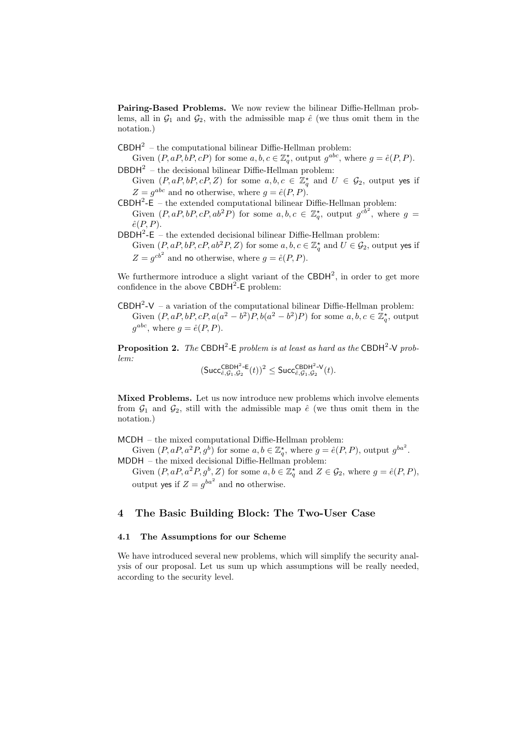Pairing-Based Problems. We now review the bilinear Diffie-Hellman problems, all in  $G_1$  and  $G_2$ , with the admissible map  $\hat{e}$  (we thus omit them in the notation.)

 $\text{CBDH}^2$  – the computational bilinear Diffie-Hellman problem:

Given  $(P, aP, bP, cP)$  for some  $a, b, c \in \mathbb{Z}_q^*$ , output  $g^{abc}$ , where  $g = \hat{e}(P, P)$ .  $DBDH<sup>2</sup>$  – the decisional bilinear Diffie-Hellman problem:

Given  $(P, aP, bP, cP, Z)$  for some  $a, b, c \in \mathbb{Z}_q^*$  and  $U \in \mathcal{G}_2$ , output yes if  $Z = g^{abc}$  and no otherwise, where  $g = \hat{e}(P, P)$ .

 $CBDH<sup>2</sup>-E$  – the extended computational bilinear Diffie-Hellman problem: Given  $(P, aP, bP, cP, ab^2P)$  for some  $a, b, c \in \mathbb{Z}_q^*$ , output  $g^{cb^2}$ , where  $g =$  $\hat{e}(P, P)$ .

 $DBDH<sup>2</sup>-E$  – the extended decisional bilinear Diffie-Hellman problem:

Given  $(P, aP, bP, cP, ab^2P, Z)$  for some  $a, b, c \in \mathbb{Z}_q^{\star}$  and  $U \in \mathcal{G}_2$ , output yes if  $Z = g^{cb^2}$  and no otherwise, where  $g = \hat{e}(P, P)$ .

We furthermore introduce a slight variant of the  $CBDH<sup>2</sup>$ , in order to get more confidence in the above  $CBDH^2-E$  problem:

 $CBDH<sup>2</sup>-V - a variation of the computational bilinear Diffie-Hellman problem:$ Given  $(P, aP, bP, cP, a(a^2 - b^2)P, b(a^2 - b^2)P)$  for some  $a, b, c \in \mathbb{Z}_q^*$ , output  $g^{abc}$ , where  $g = \hat{e}(P, P)$ .

**Proposition 2.** The CBDH<sup>2</sup>-E problem is at least as hard as the CBDH<sup>2</sup>-V problem:

$$
(\mathsf{Succ}_{\hat{e},\mathcal{G}_1,\mathcal{G}_2}^{\mathsf{CBDH}^2\text{-}\mathsf{E}}(t))^2 \leq \mathsf{Succ}_{\hat{e},\mathcal{G}_1,\mathcal{G}_2}^{\mathsf{CBDH}^2\text{-}\mathsf{V}}(t).
$$

Mixed Problems. Let us now introduce new problems which involve elements from  $\mathcal{G}_1$  and  $\mathcal{G}_2$ , still with the admissible map  $\hat{e}$  (we thus omit them in the notation.)

MCDH – the mixed computational Diffie-Hellman problem:

Given  $(P, aP, a^2P, g^b)$  for some  $a, b \in \mathbb{Z}_q^*$ , where  $g = \hat{e}(P, P)$ , output  $g^{ba^2}$ . MDDH – the mixed decisional Diffie-Hellman problem:

Given  $(P, aP, a^2P, g^b, Z)$  for some  $a, b \in \mathbb{Z}_q^*$  and  $Z \in \mathcal{G}_2$ , where  $g = \hat{e}(P, P)$ , output yes if  $Z = g^{ba^2}$  and no otherwise.

# 4 The Basic Building Block: The Two-User Case

## 4.1 The Assumptions for our Scheme

We have introduced several new problems, which will simplify the security analysis of our proposal. Let us sum up which assumptions will be really needed, according to the security level.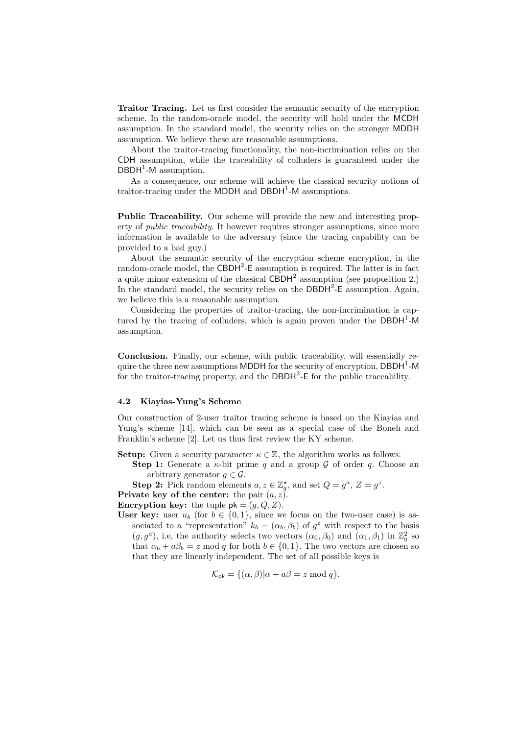Traitor Tracing. Let us first consider the semantic security of the encryption scheme. In the random-oracle model, the security will hold under the MCDH assumption. In the standard model, the security relies on the stronger MDDH assumption. We believe these are reasonable assumptions.

About the traitor-tracing functionality, the non-incrimination relies on the CDH assumption, while the traceability of colluders is guaranteed under the  $DBDH<sup>1</sup>$ -M assumption.

As a consequence, our scheme will achieve the classical security notions of traitor-tracing under the MDDH and  $DBDH<sup>1</sup>$ -M assumptions.

Public Traceability. Our scheme will provide the new and interesting property of public traceability. It however requires stronger assumptions, since more information is available to the adversary (since the tracing capability can be provided to a bad guy.)

About the semantic security of the encryption scheme encryption, in the random-oracle model, the  $CBDH^2$ -E assumption is required. The latter is in fact a quite minor extension of the classical  $CBDH<sup>2</sup>$  assumption (see proposition 2.) In the standard model, the security relies on the DBD $H^2$ -E assumption. Again, we believe this is a reasonable assumption.

Considering the properties of traitor-tracing, the non-incrimination is captured by the tracing of colluders, which is again proven under the DBDH<sup>1</sup>-M assumption.

Conclusion. Finally, our scheme, with public traceability, will essentially require the three new assumptions MDDH for the security of encryption, DBDH<sup>1</sup>-M for the traitor-tracing property, and the DBDH<sup>2</sup>-E for the public traceability.

## 4.2 Kiayias-Yung's Scheme

Our construction of 2-user traitor tracing scheme is based on the Kiayias and Yung's scheme [14], which can be seen as a special case of the Boneh and Franklin's scheme [2]. Let us thus first review the KY scheme.

- **Setup:** Given a security parameter  $\kappa \in \mathbb{Z}$ , the algorithm works as follows:
	- **Step 1:** Generate a  $\kappa$ -bit prime q and a group  $\mathcal G$  of order q. Choose an arbitrary generator  $q \in \mathcal{G}$ .

**Step 2:** Pick random elements  $a, z \in \mathbb{Z}_q^*$ , and set  $Q = g^a$ ,  $Z = g^z$ .

Private key of the center: the pair  $(a, z)$ .

**Encryption key:** the tuple  $pk = (g, Q, Z)$ .

User key: user  $u_b$  (for  $b \in \{0,1\}$ , since we focus on the two-user case) is associated to a "representation"  $k_b = (\alpha_b, \beta_b)$  of  $g^z$  with respect to the basis  $(g, g^a)$ , i.e, the authority selects two vectors  $(\alpha_0, \beta_0)$  and  $(\alpha_1, \beta_1)$  in  $\mathbb{Z}_q^2$  so that  $\alpha_b + a\beta_b = z \mod q$  for both  $b \in \{0, 1\}$ . The two vectors are chosen so that they are linearly independent. The set of all possible keys is

$$
\mathcal{K}_{\mathsf{pk}} = \{(\alpha, \beta) | \alpha + a\beta = z \bmod q\}.
$$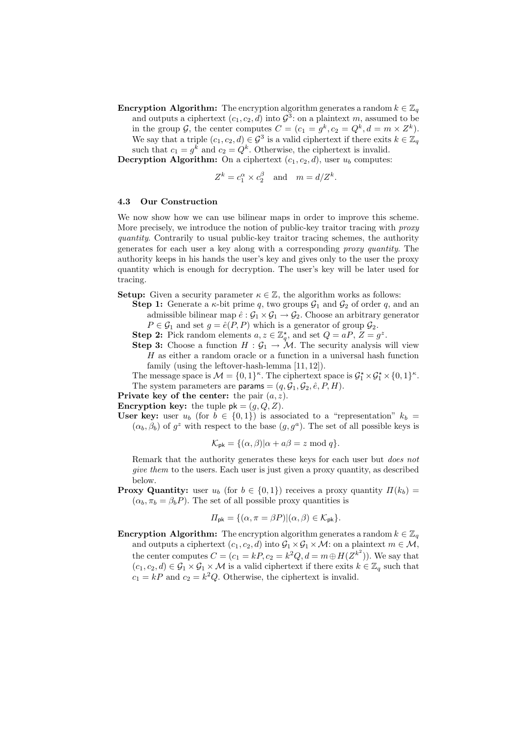**Encryption Algorithm:** The encryption algorithm generates a random  $k \in \mathbb{Z}_q$ and outputs a ciphertext  $(c_1, c_2, d)$  into  $\mathcal{G}^3$ : on a plaintext m, assumed to be in the group G, the center computes  $C = (c_1 = g^k, c_2 = Q^k, d = m \times Z^k)$ . We say that a triple  $(c_1, c_2, d) \in \mathcal{G}^3$  is a valid ciphertext if there exits  $k \in \mathbb{Z}_q$ such that  $c_1 = g^k$  and  $c_2 = Q^k$ . Otherwise, the ciphertext is invalid.

**Decryption Algorithm:** On a ciphertext  $(c_1, c_2, d)$ , user  $u_b$  computes:

$$
Z^k = c_1^{\alpha} \times c_2^{\beta} \quad \text{and} \quad m = d/Z^k.
$$

## 4.3 Our Construction

We now show how we can use bilinear maps in order to improve this scheme. More precisely, we introduce the notion of public-key traitor tracing with *proxy* quantity. Contrarily to usual public-key traitor tracing schemes, the authority generates for each user a key along with a corresponding proxy quantity. The authority keeps in his hands the user's key and gives only to the user the proxy quantity which is enough for decryption. The user's key will be later used for tracing.

- **Setup:** Given a security parameter  $\kappa \in \mathbb{Z}$ , the algorithm works as follows:
	- **Step 1:** Generate a  $\kappa$ -bit prime q, two groups  $\mathcal{G}_1$  and  $\mathcal{G}_2$  of order q, and an admissible bilinear map  $\hat{e}: \mathcal{G}_1 \times \mathcal{G}_1 \to \mathcal{G}_2$ . Choose an arbitrary generator  $P \in \mathcal{G}_1$  and set  $g = \hat{e}(P, P)$  which is a generator of group  $\mathcal{G}_2$ .
	- **Step 2:** Pick random elements  $a, z \in \mathbb{Z}_q^*$ , and set  $Q = aP, Z = g^z$ .
	- **Step 3:** Choose a function  $H : \mathcal{G}_1 \to \mathcal{M}$ . The security analysis will view  $H$  as either a random oracle or a function in a universal hash function family (using the leftover-hash-lemma [11, 12]).

The message space is  $\mathcal{M} = \{0,1\}^{\kappa}$ . The ciphertext space is  $\mathcal{G}_1^{\star} \times \mathcal{G}_1^{\star} \times \{0,1\}^{\kappa}$ . The system parameters are params =  $(q, \mathcal{G}_1, \mathcal{G}_2, \hat{e}, P, H)$ .

Private key of the center: the pair  $(a, z)$ .

**Encryption key:** the tuple  $pk = (g, Q, Z)$ .

User key: user  $u_b$  (for  $b \in \{0,1\}$ ) is associated to a "representation"  $k_b =$  $(\alpha_b, \beta_b)$  of  $g^z$  with respect to the base  $(g, g^a)$ . The set of all possible keys is

$$
\mathcal{K}_{\mathsf{pk}} = \{(\alpha, \beta) | \alpha + a\beta = z \bmod q\}.
$$

Remark that the authority generates these keys for each user but does not give them to the users. Each user is just given a proxy quantity, as described below.

**Proxy Quantity:** user  $u_b$  (for  $b \in \{0, 1\}$ ) receives a proxy quantity  $\Pi(k_b)$  =  $(\alpha_b, \pi_b = \beta_b P)$ . The set of all possible proxy quantities is

$$
\Pi_{\mathsf{pk}} = \{ (\alpha, \pi = \beta P) | (\alpha, \beta) \in \mathcal{K}_{\mathsf{pk}} \}.
$$

**Encryption Algorithm:** The encryption algorithm generates a random  $k \in \mathbb{Z}_q$ and outputs a ciphertext  $(c_1, c_2, d)$  into  $\mathcal{G}_1 \times \mathcal{G}_1 \times \mathcal{M}$ : on a plaintext  $m \in \mathcal{M}$ , the center computes  $C = (c_1 = kP, c_2 = k^2Q, d = m \oplus H(Z^{k^2}))$ . We say that  $(c_1, c_2, d) \in \mathcal{G}_1 \times \mathcal{G}_1 \times \mathcal{M}$  is a valid ciphertext if there exits  $k \in \mathbb{Z}_q$  such that  $c_1 = kP$  and  $c_2 = k^2Q$ . Otherwise, the ciphertext is invalid.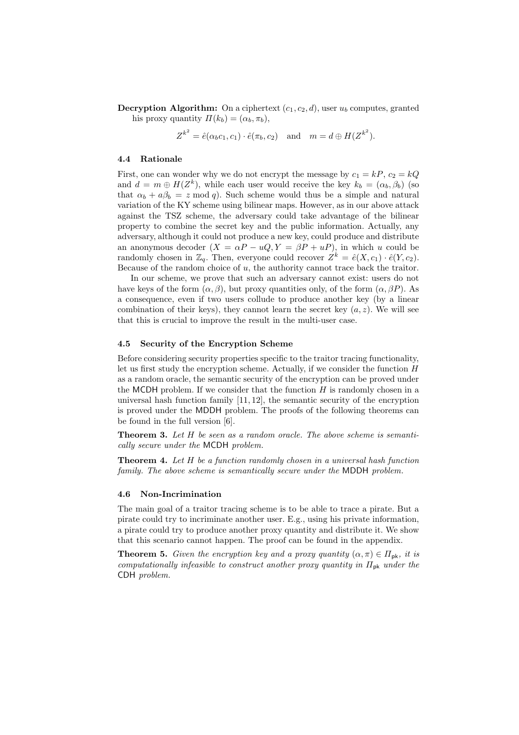**Decryption Algorithm:** On a ciphertext  $(c_1, c_2, d)$ , user  $u_b$  computes, granted his proxy quantity  $\Pi(k_b) = (\alpha_b, \pi_b)$ ,

 $Z^{k^2} = \hat{e}(\alpha_b c_1, c_1) \cdot \hat{e}(\pi_b, c_2)$  and  $m = d \oplus H(Z^{k^2})$ .

#### 4.4 Rationale

First, one can wonder why we do not encrypt the message by  $c_1 = kP$ ,  $c_2 = kQ$ and  $d = m \oplus H(Z^k)$ , while each user would receive the key  $k_b = (\alpha_b, \beta_b)$  (so that  $\alpha_b + a\beta_b = z \mod q$ . Such scheme would thus be a simple and natural variation of the KY scheme using bilinear maps. However, as in our above attack against the TSZ scheme, the adversary could take advantage of the bilinear property to combine the secret key and the public information. Actually, any adversary, although it could not produce a new key, could produce and distribute an anonymous decoder  $(X = \alpha P - uQ, Y = \beta P + uP)$ , in which u could be randomly chosen in  $\mathbb{Z}_q$ . Then, everyone could recover  $Z^k = \hat{e}(X, c_1) \cdot \hat{e}(Y, c_2)$ . Because of the random choice of  $u$ , the authority cannot trace back the traitor.

In our scheme, we prove that such an adversary cannot exist: users do not have keys of the form  $(\alpha, \beta)$ , but proxy quantities only, of the form  $(\alpha, \beta P)$ . As a consequence, even if two users collude to produce another key (by a linear combination of their keys), they cannot learn the secret key  $(a, z)$ . We will see that this is crucial to improve the result in the multi-user case.

## 4.5 Security of the Encryption Scheme

Before considering security properties specific to the traitor tracing functionality, let us first study the encryption scheme. Actually, if we consider the function  $H$ as a random oracle, the semantic security of the encryption can be proved under the MCDH problem. If we consider that the function  $H$  is randomly chosen in a universal hash function family [11, 12], the semantic security of the encryption is proved under the MDDH problem. The proofs of the following theorems can be found in the full version [6].

Theorem 3. Let H be seen as a random oracle. The above scheme is semantically secure under the MCDH problem.

Theorem 4. Let H be a function randomly chosen in a universal hash function family. The above scheme is semantically secure under the MDDH problem.

### 4.6 Non-Incrimination

The main goal of a traitor tracing scheme is to be able to trace a pirate. But a pirate could try to incriminate another user. E.g., using his private information, a pirate could try to produce another proxy quantity and distribute it. We show that this scenario cannot happen. The proof can be found in the appendix.

**Theorem 5.** Given the encryption key and a proxy quantity  $(\alpha, \pi) \in \Pi_{\text{pk}}$ , it is computationally infeasible to construct another proxy quantity in  $\Pi_{\rm pk}$  under the CDH problem.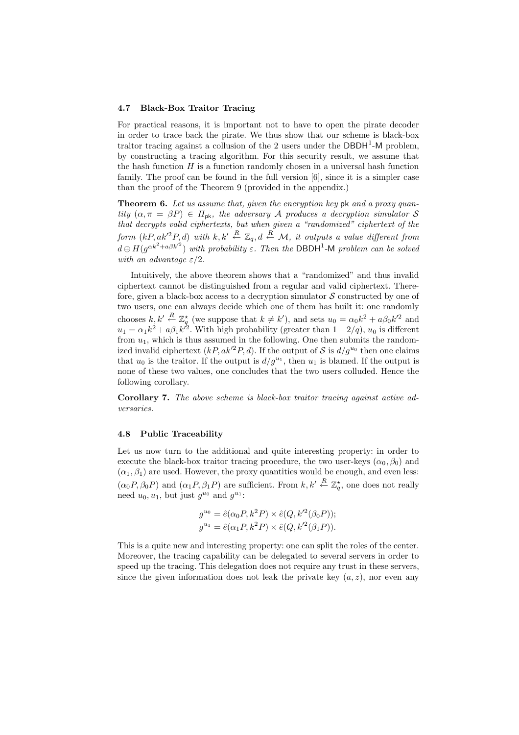#### 4.7 Black-Box Traitor Tracing

For practical reasons, it is important not to have to open the pirate decoder in order to trace back the pirate. We thus show that our scheme is black-box traitor tracing against a collusion of the 2 users under the  $DBDH<sup>1</sup>$ -M problem, by constructing a tracing algorithm. For this security result, we assume that the hash function  $H$  is a function randomly chosen in a universal hash function family. The proof can be found in the full version [6], since it is a simpler case than the proof of the Theorem 9 (provided in the appendix.)

**Theorem 6.** Let us assume that, given the encryption key pk and a proxy quantity  $(\alpha, \pi = \beta P) \in \Pi_{\text{pk}}$ , the adversary A produces a decryption simulator S that decrypts valid ciphertexts, but when given a "randomized" ciphertext of the form  $(kP, ak'^{2}P, d)$  with  $k, k' \stackrel{R}{\leftarrow} \mathbb{Z}_{q}, d \stackrel{R}{\leftarrow} \mathcal{M}$ , it outputs a value different from  $\overline{d} \oplus \overline{H}(g^{\alpha k^2 + a\beta k'^2})$  with probability  $\varepsilon$ . Then the DBDH<sup>1</sup>-M problem can be solved with an advantage  $\varepsilon/2$ .

Intuitively, the above theorem shows that a "randomized" and thus invalid ciphertext cannot be distinguished from a regular and valid ciphertext. Therefore, given a black-box access to a decryption simulator  $\mathcal S$  constructed by one of two users, one can always decide which one of them has built it: one randomly chooses  $k, k' \stackrel{R}{\leftarrow} \mathbb{Z}_q^{\star}$  (we suppose that  $k \neq k'$ ), and sets  $u_0 = \alpha_0 k^2 + a \beta_0 k'^2$  and  $u_1 = \alpha_1 k^2 + a\beta_1 k^2$ . With high probability (greater than  $1 - 2/q$ ),  $u_0$  is different from  $u_1$ , which is thus assumed in the following. One then submits the randomized invalid ciphertext  $(kP, ak^2P, d)$ . If the output of S is  $d/g^{u_0}$  then one claims that  $u_0$  is the traitor. If the output is  $d/g^{u_1}$ , then  $u_1$  is blamed. If the output is none of these two values, one concludes that the two users colluded. Hence the following corollary.

Corollary 7. The above scheme is black-box traitor tracing against active adversaries.

#### 4.8 Public Traceability

Let us now turn to the additional and quite interesting property: in order to execute the black-box traitor tracing procedure, the two user-keys  $(\alpha_0, \beta_0)$  and  $(\alpha_1, \beta_1)$  are used. However, the proxy quantities would be enough, and even less:  $(\alpha_0 P, \beta_0 P)$  and  $(\alpha_1 P, \beta_1 P)$  are sufficient. From  $k, k' \stackrel{R}{\leftarrow} \mathbb{Z}_q^{\star}$ , one does not really need  $u_0, u_1$ , but just  $g^{u_0}$  and  $g^{u_1}$ :

$$
g^{u_0} = \hat{e}(\alpha_0 P, k^2 P) \times \hat{e}(Q, k'^2(\beta_0 P));
$$
  

$$
g^{u_1} = \hat{e}(\alpha_1 P, k^2 P) \times \hat{e}(Q, k'^2(\beta_1 P)).
$$

This is a quite new and interesting property: one can split the roles of the center. Moreover, the tracing capability can be delegated to several servers in order to speed up the tracing. This delegation does not require any trust in these servers, since the given information does not leak the private key  $(a, z)$ , nor even any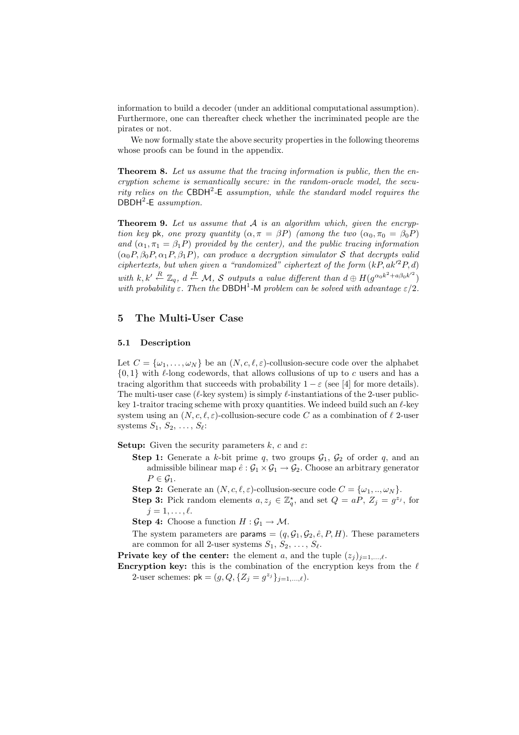information to build a decoder (under an additional computational assumption). Furthermore, one can thereafter check whether the incriminated people are the pirates or not.

We now formally state the above security properties in the following theorems whose proofs can be found in the appendix.

Theorem 8. Let us assume that the tracing information is public, then the encryption scheme is semantically secure: in the random-oracle model, the security relies on the CBDH<sup>2</sup>-E assumption, while the standard model requires the  $DBDH<sup>2</sup>-E$  assumption.

**Theorem 9.** Let us assume that  $\mathcal A$  is an algorithm which, given the encryption key pk, one proxy quantity  $(\alpha, \pi = \beta P)$  (among the two  $(\alpha_0, \pi_0 = \beta_0 P)$ ) and  $(\alpha_1, \pi_1 = \beta_1 P)$  provided by the center), and the public tracing information  $(\alpha_0 P, \beta_0 P, \alpha_1 P, \beta_1 P)$ , can produce a decryption simulator S that decrypts valid ciphertexts, but when given a "randomized" ciphertext of the form  $(kP, ak'^2P, d)$ with  $k, k' \stackrel{R}{\leftarrow} \mathbb{Z}_q$ ,  $d \stackrel{R}{\leftarrow} \mathcal{M}$ , S outputs a value different than  $d \oplus H(g^{\alpha_0 k^2 + a\beta_0 k'^2})$ with probability  $\varepsilon$ . Then the DBDH<sup>1</sup>-M problem can be solved with advantage  $\varepsilon/2$ .

# 5 The Multi-User Case

#### 5.1 Description

Let  $C = {\omega_1, \ldots, \omega_N}$  be an  $(N, c, \ell, \varepsilon)$ -collusion-secure code over the alphabet  $\{0, 1\}$  with  $\ell$ -long codewords, that allows collusions of up to c users and has a tracing algorithm that succeeds with probability  $1 - \varepsilon$  (see [4] for more details). The multi-user case ( $\ell$ -key system) is simply  $\ell$ -instantiations of the 2-user publickey 1-traitor tracing scheme with proxy quantities. We indeed build such an  $\ell$ -key system using an  $(N, c, \ell, \varepsilon)$ -collusion-secure code C as a combination of  $\ell$  2-user systems  $S_1, S_2, \ldots, S_\ell$ :

**Setup:** Given the security parameters k, c and  $\varepsilon$ :

- **Step 1:** Generate a k-bit prime q, two groups  $\mathcal{G}_1$ ,  $\mathcal{G}_2$  of order q, and an admissible bilinear map  $\hat{e}$ :  $\mathcal{G}_1 \times \mathcal{G}_1 \rightarrow \mathcal{G}_2$ . Choose an arbitrary generator  $P \in \mathcal{G}_1$ .
- Step 2: Generate an  $(N, c, \ell, \varepsilon)$ -collusion-secure code  $C = {\omega_1, ..., \omega_N}$ .
- **Step 3:** Pick random elements  $a, z_j \in \mathbb{Z}_q^*$ , and set  $Q = aP$ ,  $Z_j = g^{z_j}$ , for  $j = 1, \ldots, \ell$ .

**Step 4:** Choose a function  $H: \mathcal{G}_1 \to \mathcal{M}$ .

The system parameters are params =  $(q, \mathcal{G}_1, \mathcal{G}_2, \hat{e}, P, H)$ . These parameters are common for all 2-user systems  $S_1, S_2, \ldots, S_\ell$ .

**Private key of the center:** the element a, and the tuple  $(z_j)_{j=1,\ldots,\ell}$ .

**Encryption key:** this is the combination of the encryption keys from the  $\ell$ 2-user schemes:  $pk = (g, Q, \{Z_j = g^{z_j}\}_{j=1,..., \ell}).$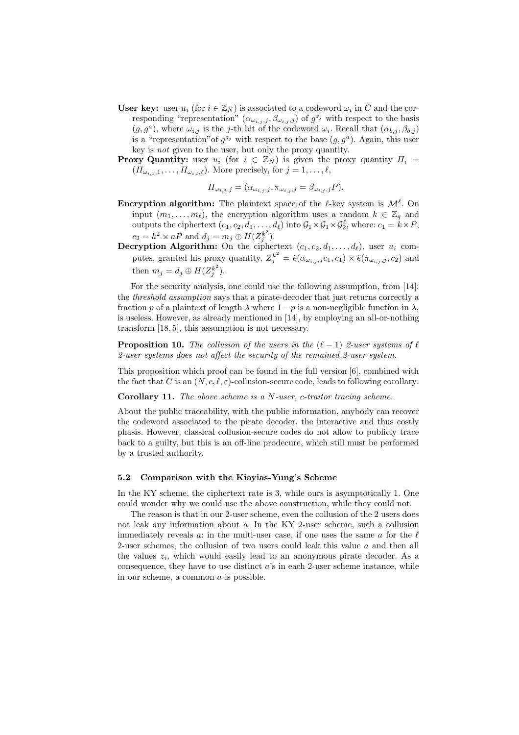- User key: user  $u_i$  (for  $i \in \mathbb{Z}_N$ ) is associated to a codeword  $\omega_i$  in C and the corresponding "representation"  $(\alpha_{\omega_{i,j},j},\beta_{\omega_{i,j},j})$  of  $g^{z_j}$  with respect to the basis  $(g, g^a)$ , where  $\omega_{i,j}$  is the j-th bit of the codeword  $\omega_i$ . Recall that  $(\alpha_{b,j}, \beta_{b,j})$ is a "representation" of  $g^{z_j}$  with respect to the base  $(g, g^a)$ . Again, this user key is not given to the user, but only the proxy quantity.
- **Proxy Quantity:** user  $u_i$  (for  $i \in \mathbb{Z}_N$ ) is given the proxy quantity  $\Pi_i =$  $(\Pi_{\omega_{i,1},1}, \ldots, \Pi_{\omega_{i,l},\ell})$ . More precisely, for  $j = 1, \ldots, \ell$ ,

$$
\Pi_{\omega_{i,j},j} = (\alpha_{\omega_{i,j},j}, \pi_{\omega_{i,j},j} = \beta_{\omega_{i,j},j}P).
$$

- **Encryption algorithm:** The plaintext space of the  $\ell$ -key system is  $\mathcal{M}^{\ell}$ . On input  $(m_1, \ldots, m_\ell)$ , the encryption algorithm uses a random  $k \in \mathbb{Z}_q$  and outputs the ciphertext  $(c_1, c_2, d_1, \ldots, d_\ell)$  into  $\mathcal{G}_1 \times \mathcal{G}_1 \times \mathcal{G}_2^{\ell}$ , where:  $c_1 = k \times P$ ,  $c_2 = k^2 \times aP$  and  $d_j = m_j \oplus H(Z_j^{k^2})$  $j^{(k^{\pi})}$ .
- **Decryption Algorithm:** On the ciphertext  $(c_1, c_2, d_1, \ldots, d_\ell)$ , user  $u_i$  computes, granted his proxy quantity,  $Z_j^{k^2} = \hat{e}(\alpha_{\omega_{i,j},j}c_1,c_1) \times \hat{e}(\pi_{\omega_{i,j},j},c_2)$  and then  $m_j = d_j \oplus H(Z_j^{k^2})$ .

For the security analysis, one could use the following assumption, from [14]: the threshold assumption says that a pirate-decoder that just returns correctly a fraction p of a plaintext of length  $\lambda$  where  $1-p$  is a non-negligible function in  $\lambda$ , is useless. However, as already mentioned in [14], by employing an all-or-nothing transform [18, 5], this assumption is not necessary.

**Proposition 10.** The collusion of the users in the  $(\ell - 1)$  2-user systems of  $\ell$ 2-user systems does not affect the security of the remained 2-user system.

This proposition which proof can be found in the full version [6], combined with the fact that C is an  $(N, c, \ell, \varepsilon)$ -collusion-secure code, leads to following corollary:

Corollary 11. The above scheme is a N-user, c-traitor tracing scheme.

About the public traceability, with the public information, anybody can recover the codeword associated to the pirate decoder, the interactive and thus costly phasis. However, classical collusion-secure codes do not allow to publicly trace back to a guilty, but this is an off-line prodecure, which still must be performed by a trusted authority.

## 5.2 Comparison with the Kiayias-Yung's Scheme

In the KY scheme, the ciphertext rate is 3, while ours is asymptotically 1. One could wonder why we could use the above construction, while they could not.

The reason is that in our 2-user scheme, even the collusion of the 2 users does not leak any information about a. In the KY 2-user scheme, such a collusion immediately reveals a: in the multi-user case, if one uses the same a for the  $\ell$ 2-user schemes, the collusion of two users could leak this value  $a$  and then all the values  $z_i$ , which would easily lead to an anonymous pirate decoder. As a consequence, they have to use distinct  $a$ 's in each 2-user scheme instance, while in our scheme, a common a is possible.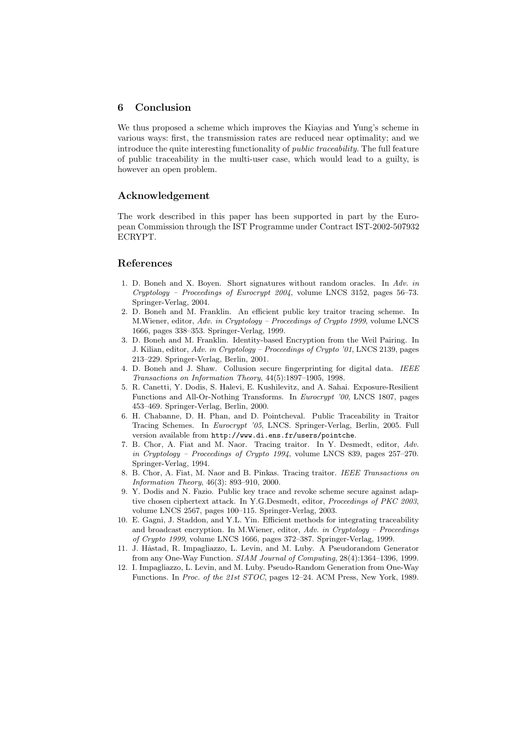# 6 Conclusion

We thus proposed a scheme which improves the Kiayias and Yung's scheme in various ways: first, the transmission rates are reduced near optimality; and we introduce the quite interesting functionality of public traceability. The full feature of public traceability in the multi-user case, which would lead to a guilty, is however an open problem.

# Acknowledgement

The work described in this paper has been supported in part by the European Commission through the IST Programme under Contract IST-2002-507932 ECRYPT.

# References

- 1. D. Boneh and X. Boyen. Short signatures without random oracles. In Adv. in  $Cryptology - Proceedings of Eurocrypt 2004$ , volume LNCS 3152, pages 56–73. Springer-Verlag, 2004.
- 2. D. Boneh and M. Franklin. An efficient public key traitor tracing scheme. In M.Wiener, editor, Adv. in Cryptology – Proceedings of Crypto 1999, volume LNCS 1666, pages 338–353. Springer-Verlag, 1999.
- 3. D. Boneh and M. Franklin. Identity-based Encryption from the Weil Pairing. In J. Kilian, editor, Adv. in Cryptology – Proceedings of Crypto '01, LNCS 2139, pages 213–229. Springer-Verlag, Berlin, 2001.
- 4. D. Boneh and J. Shaw. Collusion secure fingerprinting for digital data. IEEE Transactions on Information Theory, 44(5):1897–1905, 1998.
- 5. R. Canetti, Y. Dodis, S. Halevi, E. Kushilevitz, and A. Sahai. Exposure-Resilient Functions and All-Or-Nothing Transforms. In Eurocrypt '00, LNCS 1807, pages 453–469. Springer-Verlag, Berlin, 2000.
- 6. H. Chabanne, D. H. Phan, and D. Pointcheval. Public Traceability in Traitor Tracing Schemes. In Eurocrypt '05, LNCS. Springer-Verlag, Berlin, 2005. Full version available from http://www.di.ens.fr/users/pointche.
- 7. B. Chor, A. Fiat and M. Naor. Tracing traitor. In Y. Desmedt, editor, Adv. in Cryptology – Proceedings of Crypto 1994, volume LNCS 839, pages 257–270. Springer-Verlag, 1994.
- 8. B. Chor, A. Fiat, M. Naor and B. Pinkas. Tracing traitor. IEEE Transactions on Information Theory, 46(3): 893–910, 2000.
- 9. Y. Dodis and N. Fazio. Public key trace and revoke scheme secure against adaptive chosen ciphertext attack. In Y.G.Desmedt, editor, Proceedings of PKC 2003, volume LNCS 2567, pages 100–115. Springer-Verlag, 2003.
- 10. E. Gagni, J. Staddon, and Y.L. Yin. Efficient methods for integrating traceability and broadcast encryption. In M.Wiener, editor, Adv. in Cryptology – Proceedings of Crypto 1999, volume LNCS 1666, pages 372–387. Springer-Verlag, 1999.
- 11. J. Håstad, R. Impagliazzo, L. Levin, and M. Luby. A Pseudorandom Generator from any One-Way Function. SIAM Journal of Computing, 28(4):1364–1396, 1999.
- 12. I. Impagliazzo, L. Levin, and M. Luby. Pseudo-Random Generation from One-Way Functions. In Proc. of the 21st STOC, pages 12–24. ACM Press, New York, 1989.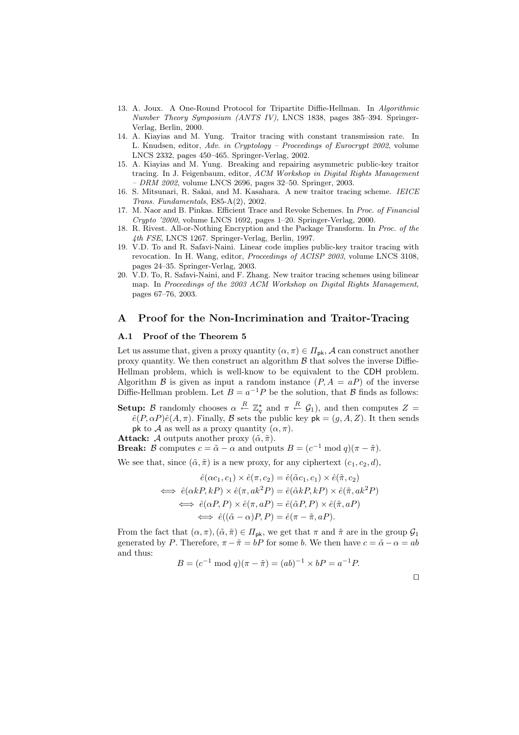- 13. A. Joux. A One-Round Protocol for Tripartite Diffie-Hellman. In Algorithmic Number Theory Symposium (ANTS IV), LNCS 1838, pages 385–394. Springer-Verlag, Berlin, 2000.
- 14. A. Kiayias and M. Yung. Traitor tracing with constant transmission rate. In L. Knudsen, editor, Adv. in Cryptology – Proceedings of Eurocrypt 2002, volume LNCS 2332, pages 450–465. Springer-Verlag, 2002.
- 15. A. Kiayias and M. Yung. Breaking and repairing asymmetric public-key traitor tracing. In J. Feigenbaum, editor, ACM Workshop in Digital Rights Management  $-$  DRM 2002, volume LNCS 2696, pages 32–50. Springer, 2003.
- 16. S. Mitsunari, R. Sakai, and M. Kasahara. A new traitor tracing scheme. IEICE Trans. Fundamentals, E85-A(2), 2002.
- 17. M. Naor and B. Pinkas. Efficient Trace and Revoke Schemes. In Proc. of Financial Crypto '2000, volume LNCS 1692, pages 1–20. Springer-Verlag, 2000.
- 18. R. Rivest. All-or-Nothing Encryption and the Package Transform. In Proc. of the 4th FSE, LNCS 1267. Springer-Verlag, Berlin, 1997.
- 19. V.D. To and R. Safavi-Naini. Linear code implies public-key traitor tracing with revocation. In H. Wang, editor, Proceedings of ACISP 2003, volume LNCS 3108, pages 24–35. Springer-Verlag, 2003.
- 20. V.D. To, R. Safavi-Naini, and F. Zhang. New traitor tracing schemes using bilinear map. In Proceedings of the 2003 ACM Workshop on Digital Rights Management, pages 67–76, 2003.

# A Proof for the Non-Incrimination and Traitor-Tracing

#### A.1 Proof of the Theorem 5

Let us assume that, given a proxy quantity  $(\alpha, \pi) \in \Pi_{\text{pk}}$ , A can construct another proxy quantity. We then construct an algorithm  $\beta$  that solves the inverse Diffie-Hellman problem, which is well-know to be equivalent to the CDH problem. Algorithm B is given as input a random instance  $(P, A = aP)$  of the inverse Diffie-Hellman problem. Let  $B = a^{-1}P$  be the solution, that  $\beta$  finds as follows:

**Setup:** B randomly chooses  $\alpha \stackrel{R}{\leftarrow} \mathbb{Z}_q^{\star}$  and  $\pi \stackrel{R}{\leftarrow} \mathcal{G}_1$ , and then computes  $Z =$  $\hat{e}(P, \alpha P)\hat{e}(A, \pi)$ . Finally,  $\beta$  sets the public key  $\mathsf{pk} = (g, A, Z)$ . It then sends

pk to A as well as a proxy quantity  $(\alpha, \pi)$ . **Attack:** A outputs another proxy  $(\tilde{\alpha}, \tilde{\pi})$ .

**Break:** B computes  $c = \tilde{\alpha} - \alpha$  and outputs  $B = (c^{-1} \mod q)(\pi - \tilde{\pi})$ .

We see that, since  $(\tilde{\alpha}, \tilde{\pi})$  is a new proxy, for any ciphertext  $(c_1, c_2, d)$ ,

$$
\hat{e}(\alpha c_1, c_1) \times \hat{e}(\pi, c_2) = \hat{e}(\tilde{\alpha}c_1, c_1) \times \hat{e}(\tilde{\pi}, c_2)
$$
  
\n
$$
\iff \hat{e}(\alpha k P, k P) \times \hat{e}(\pi, a k^2 P) = \hat{e}(\tilde{\alpha} k P, k P) \times \hat{e}(\tilde{\pi}, a k^2 P)
$$
  
\n
$$
\iff \hat{e}(\alpha P, P) \times \hat{e}(\pi, a P) = \hat{e}(\tilde{\alpha} P, P) \times \hat{e}(\tilde{\pi}, a P)
$$
  
\n
$$
\iff \hat{e}((\tilde{\alpha} - \alpha) P, P) = \hat{e}(\pi - \tilde{\pi}, a P).
$$

From the fact that  $(\alpha, \pi), (\tilde{\alpha}, \tilde{\pi}) \in \Pi_{\text{pk}}$ , we get that  $\pi$  and  $\tilde{\pi}$  are in the group  $\mathcal{G}_1$ generated by P. Therefore,  $\pi - \tilde{\pi} = bP$  for some b. We then have  $c = \tilde{\alpha} - \alpha = ab$ and thus:

$$
B = (c^{-1} \bmod q)(\pi - \tilde{\pi}) = (ab)^{-1} \times bP = a^{-1}P.
$$

| ۰ |  |  |
|---|--|--|
|   |  |  |
|   |  |  |
|   |  |  |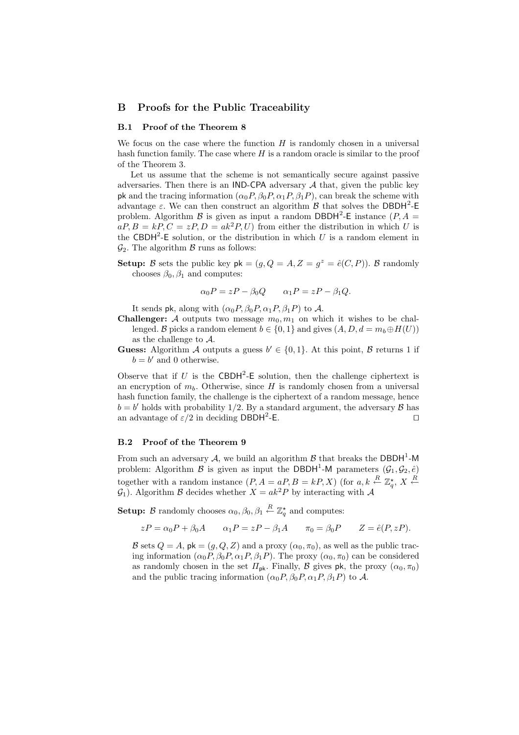## B Proofs for the Public Traceability

#### B.1 Proof of the Theorem 8

We focus on the case where the function  $H$  is randomly chosen in a universal hash function family. The case where  $H$  is a random oracle is similar to the proof of the Theorem 3.

Let us assume that the scheme is not semantically secure against passive adversaries. Then there is an IND-CPA adversary  $A$  that, given the public key pk and the tracing information  $(\alpha_0 P, \beta_0 P, \alpha_1 P, \beta_1 P)$ , can break the scheme with advantage  $\varepsilon$ . We can then construct an algorithm  $\beta$  that solves the DBDH<sup>2</sup>-E problem. Algorithm  $\beta$  is given as input a random DBDH<sup>2</sup>-E instance  $(P, A =$  $aP, B = kP, C = zP, D = ak^2P, U$  from either the distribution in which U is the CBDH<sup>2</sup>-E solution, or the distribution in which U is a random element in  $\mathcal{G}_2$ . The algorithm  $\beta$  runs as follows:

**Setup:** B sets the public key  $pk = (g, Q = A, Z = g^z = \hat{e}(C, P))$ . B randomly chooses  $\beta_0$ ,  $\beta_1$  and computes:

$$
\alpha_0 P = zP - \beta_0 Q \qquad \alpha_1 P = zP - \beta_1 Q.
$$

It sends pk, along with  $(\alpha_0 P, \beta_0 P, \alpha_1 P, \beta_1 P)$  to A.

**Challenger:** A outputs two message  $m_0, m_1$  on which it wishes to be challenged. B picks a random element  $b \in \{0, 1\}$  and gives  $(A, D, d = m_b \oplus H(U))$ as the challenge to A.

**Guess:** Algorithm A outputs a guess  $b' \in \{0, 1\}$ . At this point, B returns 1 if  $b = b'$  and 0 otherwise.

Observe that if U is the CBDH<sup>2</sup>-E solution, then the challenge ciphertext is an encryption of  $m_b$ . Otherwise, since H is randomly chosen from a universal hash function family, the challenge is the ciphertext of a random message, hence  $b = b'$  holds with probability 1/2. By a standard argument, the adversary  $\beta$  has an advantage of  $\varepsilon/2$  in deciding DBDH<sup>2</sup>-E.  $-E.$ 

## B.2 Proof of the Theorem 9

From such an adversary A, we build an algorithm  $\mathcal B$  that breaks the DBDH<sup>1</sup>-M problem: Algorithm  $\beta$  is given as input the DBDH<sup>1</sup>-M parameters  $(\mathcal{G}_1, \mathcal{G}_2, \hat{e})$ together with a random instance  $(P, A = aP, B = kP, X)$  (for  $a, k \stackrel{R}{\leftarrow} \mathbb{Z}_q^{\star}, X \stackrel{R}{\leftarrow}$  $\mathcal{G}_1$ ). Algorithm B decides whether  $X = ak^2P$  by interacting with A

**Setup:**  $\mathcal{B}$  randomly chooses  $\alpha_0, \beta_0, \beta_1 \stackrel{R}{\leftarrow} \mathbb{Z}_q^{\star}$  and computes:

$$
zP = \alpha_0 P + \beta_0 A \qquad \alpha_1 P = zP - \beta_1 A \qquad \pi_0 = \beta_0 P \qquad Z = \hat{e}(P, zP).
$$

B sets  $Q = A$ ,  $pk = (q, Q, Z)$  and a proxy  $(\alpha_0, \pi_0)$ , as well as the public tracing information  $(\alpha_0 P, \beta_0 P, \alpha_1 P, \beta_1 P)$ . The proxy  $(\alpha_0, \pi_0)$  can be considered as randomly chosen in the set  $\Pi_{\mathsf{pk}}$ . Finally,  $\mathcal B$  gives  $\mathsf{pk}$ , the proxy  $(\alpha_0, \pi_0)$ and the public tracing information  $(\alpha_0 P, \beta_0 P, \alpha_1 P, \beta_1 P)$  to A.